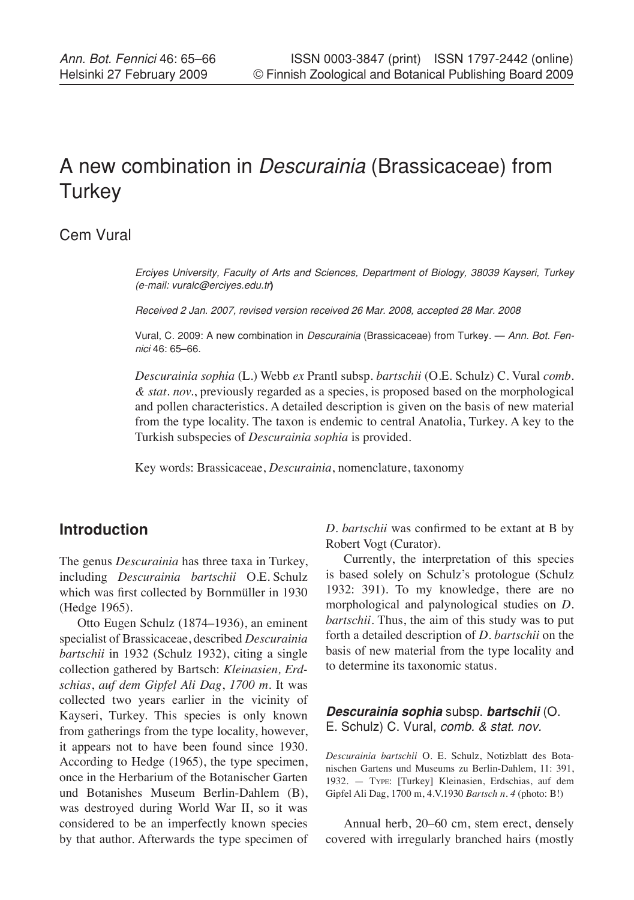# A new combination in *Descurainia* (Brassicaceae) from **Turkey**

## Cem Vural

*Erciyes University, Faculty of Arts and Sciences, Department of Biology, 38039 Kayseri, Turkey (e-mail: vuralc@erciyes.edu.tr***)**

*Received 2 Jan. 2007, revised version received 26 Mar. 2008, accepted 28 Mar. 2008*

Vural, C. 2009: A new combination in *Descurainia* (Brassicaceae) from Turkey. — *Ann. Bot. Fennici* 46: 65–66.

*Descurainia sophia* (L.) Webb *ex* Prantl subsp. *bartschii* (O.E. Schulz) C. Vural *comb. & stat. nov.*, previously regarded as a species, is proposed based on the morphological and pollen characteristics. A detailed description is given on the basis of new material from the type locality. The taxon is endemic to central Anatolia, Turkey. A key to the Turkish subspecies of *Descurainia sophia* is provided.

Key words: Brassicaceae, *Descurainia*, nomenclature, taxonomy

## **Introduction**

The genus *Descurainia* has three taxa in Turkey, including *Descurainia bartschii* O.E. Schulz which was first collected by Bornmüller in 1930 (Hedge 1965).

Otto Eugen Schulz (1874–1936), an eminent specialist of Brassicaceae, described *Descurainia bartschii* in 1932 (Schulz 1932), citing a single collection gathered by Bartsch: *Kleinasien, Erdschias*, *auf dem Gipfel Ali Dag*, *1700 m*. It was collected two years earlier in the vicinity of Kayseri, Turkey. This species is only known from gatherings from the type locality, however, it appears not to have been found since 1930. According to Hedge (1965), the type specimen, once in the Herbarium of the Botanischer Garten und Botanishes Museum Berlin-Dahlem (B), was destroyed during World War II, so it was considered to be an imperfectly known species by that author. Afterwards the type specimen of *D. bartschii* was confirmed to be extant at B by Robert Vogt (Curator).

Currently, the interpretation of this species is based solely on Schulz's protologue (Schulz 1932: 391). To my knowledge, there are no morphological and palynological studies on *D. bartschii*. Thus, the aim of this study was to put forth a detailed description of *D. bartschii* on the basis of new material from the type locality and to determine its taxonomic status.

#### *Descurainia sophia* subsp. *bartschii* (O. E. Schulz) C. Vural, *comb. & stat. nov.*

*Descurainia bartschii* O. E. Schulz, Notizblatt des Botanischen Gartens und Museums zu Berlin-Dahlem, 11: 391, 1932. — Type: [Turkey] Kleinasien, Erdschias, auf dem Gipfel Ali Dag, 1700 m, 4.V.1930 *Bartsch n. 4* (photo: B!)

Annual herb, 20–60 cm, stem erect, densely covered with irregularly branched hairs (mostly